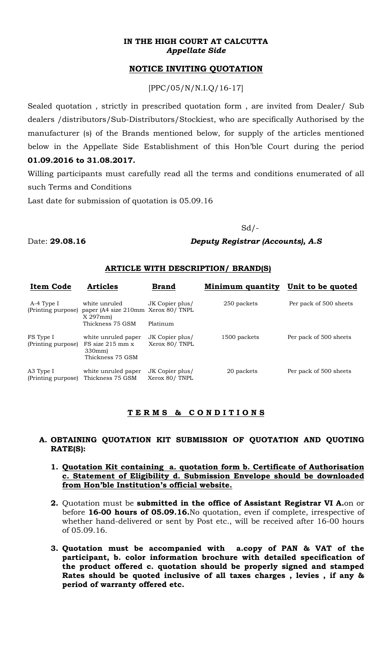#### **IN THE HIGH COURT AT CALCUTTA**  *Appellate Side*

# **NOTICE INVITING QUOTATION**

[PPC/05/N/N.I.Q/16-17]

Sealed quotation , strictly in prescribed quotation form , are invited from Dealer/ Sub dealers /distributors/Sub-Distributors/Stockiest, who are specifically Authorised by the manufacturer (s) of the Brands mentioned below, for supply of the articles mentioned below in the Appellate Side Establishment of this Hon'ble Court during the period **01.09.2016 to 31.08.2017.**

Willing participants must carefully read all the terms and conditions enumerated of all such Terms and Conditions

Last date for submission of quotation is 05.09.16

#### $Sd$  /  $-$

Date: **29.08.16** *Deputy Registrar (Accounts), A.S* 

#### **ARTICLE WITH DESCRIPTION/ BRAND(S)**

| <b>Item Code</b>                 | <b>Articles</b>                                                          | <b>Brand</b>                     | Minimum quantity | Unit to be quoted      |
|----------------------------------|--------------------------------------------------------------------------|----------------------------------|------------------|------------------------|
| A-4 Type I<br>(Printing purpose) | white unruled<br>paper (A4 size 210mm Xerox 80/TNPL)<br>$X$ 297 $mm$ )   | JK Copier plus/                  | 250 packets      | Per pack of 500 sheets |
|                                  | Thickness 75 GSM                                                         | Platinum                         |                  |                        |
| FS Type I<br>(Printing purpose)  | white unruled paper<br>$FS$ size 215 mm $x$<br>330mm<br>Thickness 75 GSM | JK Copier plus/<br>Xerox 80/TNPL | 1500 packets     | Per pack of 500 sheets |
| A3 Type I<br>(Printing purpose)  | white unruled paper<br>Thickness 75 GSM                                  | JK Copier plus/<br>Xerox 80/TNPL | 20 packets       | Per pack of 500 sheets |

### **T E R M S & C O N D I T I O N S**

### **A. OBTAINING QUOTATION KIT SUBMISSION OF QUOTATION AND QUOTING RATE(S):**

- **1. Quotation Kit containing a. quotation form b. Certificate of Authorisation c. Statement of Eligibility d. Submission Envelope should be downloaded from Hon'ble Institution's official website.**
- **2.** Quotation must be **submitted in the office of Assistant Registrar VI A.**on or before **16-00 hours of 05.09.16.**No quotation, even if complete, irrespective of whether hand-delivered or sent by Post etc., will be received after 16-00 hours of 05.09.16.
- **3. Quotation must be accompanied with a.copy of PAN & VAT of the participant, b. color information brochure with detailed specification of the product offered c. quotation should be properly signed and stamped Rates should be quoted inclusive of all taxes charges , levies , if any & period of warranty offered etc.**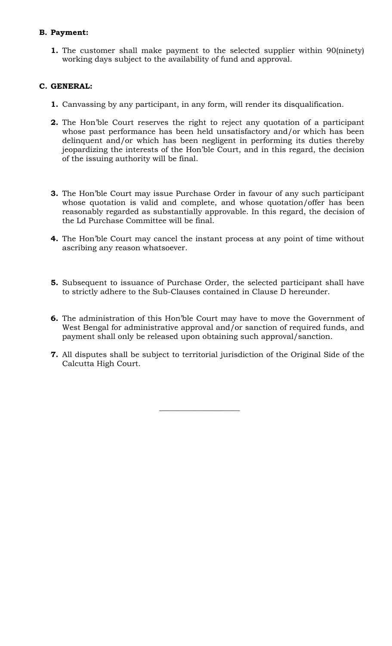# **B. Payment:**

**1.** The customer shall make payment to the selected supplier within 90(ninety) working days subject to the availability of fund and approval.

### **C. GENERAL:**

- **1.** Canvassing by any participant, in any form, will render its disqualification.
- **2.** The Hon'ble Court reserves the right to reject any quotation of a participant whose past performance has been held unsatisfactory and/or which has been delinquent and/or which has been negligent in performing its duties thereby jeopardizing the interests of the Hon'ble Court, and in this regard, the decision of the issuing authority will be final.
- **3.** The Hon'ble Court may issue Purchase Order in favour of any such participant whose quotation is valid and complete, and whose quotation/offer has been reasonably regarded as substantially approvable. In this regard, the decision of the Ld Purchase Committee will be final.
- **4.** The Hon'ble Court may cancel the instant process at any point of time without ascribing any reason whatsoever.
- **5.** Subsequent to issuance of Purchase Order, the selected participant shall have to strictly adhere to the Sub-Clauses contained in Clause D hereunder.
- **6.** The administration of this Hon'ble Court may have to move the Government of West Bengal for administrative approval and/or sanction of required funds, and payment shall only be released upon obtaining such approval/sanction.
- **7.** All disputes shall be subject to territorial jurisdiction of the Original Side of the Calcutta High Court.

 $\mathcal{L}_\text{max}$  and  $\mathcal{L}_\text{max}$  and  $\mathcal{L}_\text{max}$  and  $\mathcal{L}_\text{max}$  and  $\mathcal{L}_\text{max}$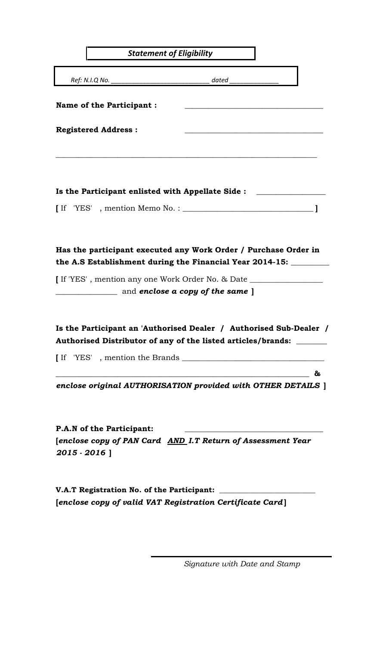| <b>Statement of Eligibility</b>                 |                                                                                                                                                                                           |  |  |  |  |
|-------------------------------------------------|-------------------------------------------------------------------------------------------------------------------------------------------------------------------------------------------|--|--|--|--|
|                                                 | dated                                                                                                                                                                                     |  |  |  |  |
| <b>Name of the Participant:</b>                 |                                                                                                                                                                                           |  |  |  |  |
| <b>Registered Address:</b>                      |                                                                                                                                                                                           |  |  |  |  |
|                                                 | Is the Participant enlisted with Appellate Side :                                                                                                                                         |  |  |  |  |
|                                                 |                                                                                                                                                                                           |  |  |  |  |
|                                                 | Has the participant executed any Work Order / Purchase Order in<br>the A.S Establishment during the Financial Year 2014-15: _________                                                     |  |  |  |  |
|                                                 | I If 'YES', mention any one Work Order No. & Date ______________________________<br>and enclose a copy of the same ]                                                                      |  |  |  |  |
|                                                 | Is the Participant an 'Authorised Dealer / Authorised Sub-Dealer /<br>Authorised Distributor of any of the listed articles/brands:                                                        |  |  |  |  |
|                                                 |                                                                                                                                                                                           |  |  |  |  |
|                                                 | &<br><u> 1989 - Johann Barbara, martxa alemaniar amerikan basar da da a shekara a shekara a shekara a shekara a sheka</u><br>enclose original AUTHORISATION provided with OTHER DETAILS ] |  |  |  |  |
| <b>P.A.N of the Participant:</b><br>2015 - 2016 | [enclose copy of PAN Card AND I.T Return of Assessment Year                                                                                                                               |  |  |  |  |
|                                                 | V.A.T Registration No. of the Participant:<br>[enclose copy of valid VAT Registration Certificate Card]                                                                                   |  |  |  |  |

*Signature with Date and Stamp*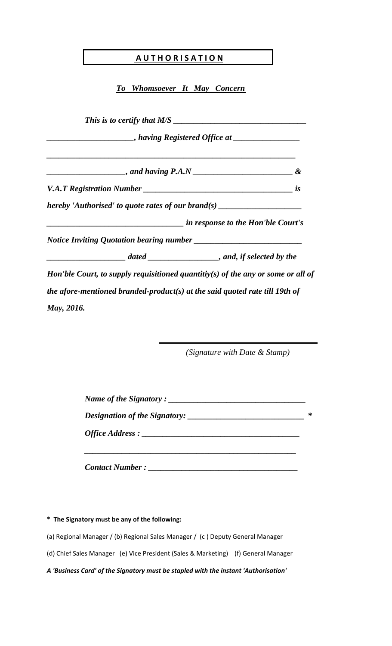# **A U T H O R I S A T I O N**

*To Whomsoever It May Concern*

*This is to certify that M/S \_\_\_\_\_\_\_\_\_\_\_\_\_\_\_\_\_\_\_\_\_\_\_\_\_\_\_\_\_\_\_\_ \_\_\_\_\_\_\_\_\_\_\_\_\_\_\_\_\_\_\_\_\_, having Registered Office at \_\_\_\_\_\_\_\_\_\_\_\_\_\_\_\_ \_\_\_\_\_\_\_\_\_\_\_\_\_\_\_\_\_\_\_\_\_\_\_\_\_\_\_\_\_\_\_\_\_\_\_\_\_\_\_\_\_\_\_\_\_\_\_\_\_\_\_\_\_\_\_\_\_\_\_\_ \_\_\_\_\_\_\_\_\_\_\_\_\_\_\_\_\_\_\_, and having P.A.N \_\_\_\_\_\_\_\_\_\_\_\_\_\_\_\_\_\_\_\_\_\_\_\_ & V.A.T Registration Number \_\_\_\_\_\_\_\_\_\_\_\_\_\_\_\_\_\_\_\_\_\_\_\_\_\_\_\_\_\_\_\_\_\_\_\_ is hereby 'Authorised' to quote rates of our brand(s) \_\_\_\_\_\_\_\_\_\_\_\_\_\_\_\_\_\_\_\_\_\_\_\_\_\_\_\_\_\_\_\_\_ in response to the Hon'ble Court's Notice Inviting Quotation bearing number \_\_\_\_\_\_\_\_\_\_ \_\_\_\_\_\_\_\_\_\_\_\_\_\_\_\_\_\_\_ dated \_\_\_\_\_\_\_\_\_\_\_\_\_\_\_\_\_, and, if selected by the Hon'ble Court, to supply requisitioned quantitiy(s) of the any or some or all of the afore-mentioned branded-product(s) at the said quoted rate till 19th of May, 2016.*

*(Signature with Date & Stamp)*

| Name of the Signatory: |  |  |  |  |
|------------------------|--|--|--|--|
|                        |  |  |  |  |
| <i>Office Address:</i> |  |  |  |  |
|                        |  |  |  |  |

*Contact Number : \_\_\_\_\_\_\_\_\_\_\_\_\_\_\_\_\_\_\_\_\_\_\_\_\_\_\_\_\_\_\_\_\_\_\_\_*

**\* The Signatory must be any of the following:**

(a) Regional Manager / (b) Regional Sales Manager / (c ) Deputy General Manager

(d) Chief Sales Manager (e) Vice President (Sales & Marketing) (f) General Manager

*A 'Business Card' of the Signatory must be stapled with the instant 'Authorisation'*